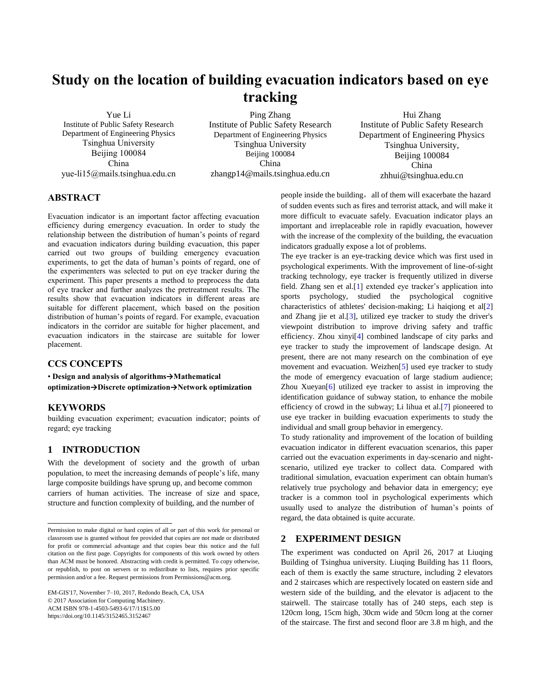# **Study on the location of building evacuation indicators based on eye tracking**

Yue Li

Institute of Public Safety Research Department of Engineering Physics Tsinghua University Beijing 100084 China yue-li15@mails.tsinghua.edu.cn

Ping Zhang Institute of Public Safety Research Department of Engineering Physics Tsinghua University Beijing 100084 China zhangp14@mails.tsinghua.edu.cn

Hui Zhang Institute of Public Safety Research Department of Engineering Physics Tsinghua University, Beijing 100084 China zhhui@tsinghua.edu.cn

# **ABSTRACT**

Evacuation indicator is an important factor affecting evacuation efficiency during emergency evacuation. In order to study the relationship between the distribution of human's points of regard and evacuation indicators during building evacuation, this paper carried out two groups of building emergency evacuation experiments, to get the data of human's points of regard, one of the experimenters was selected to put on eye tracker during the experiment. This paper presents a method to preprocess the data of eye tracker and further analyzes the pretreatment results. The results show that evacuation indicators in different areas are suitable for different placement, which based on the position distribution of human's points of regard. For example, evacuation indicators in the corridor are suitable for higher placement, and evacuation indicators in the staircase are suitable for lower placement.

# **CCS CONCEPTS**

• **Design and analysis of algorithms→Mathematical optimization→Discrete optimization→Network optimization**

#### **KEYWORDS**

building evacuation experiment; evacuation indicator; points of regard; eye tracking

# **1 INTRODUCTION**

With the development of society and the growth of urban population, to meet the increasing demands of people's life, many large composite buildings have sprung up, and become common carriers of human activities. The increase of size and space, structure and function complexity of building, and the number of

people inside the building, all of them will exacerbate the hazard of sudden events such as fires and terrorist attack, and will make it more difficult to evacuate safely. Evacuation indicator plays an important and irreplaceable role in rapidly evacuation, however with the increase of the complexity of the building, the evacuation indicators gradually expose a lot of problems.

The eye tracker is an eye-tracking device which was first used in psychological experiments. With the improvement of line-of-sight tracking technology, eye tracker is frequently utilized in diverse field. Zhang sen et al.[1] extended eye tracker's application into sports psychology, studied the psychological cognitive characteristics of athletes' decision-making; Li haiqiong et al[2] and Zhang jie et al.[3], utilized eye tracker to study the driver's viewpoint distribution to improve driving safety and traffic efficiency. Zhou xinyi[4] combined landscape of city parks and eye tracker to study the improvement of landscape design. At present, there are not many research on the combination of eye movement and evacuation. Weizhen[5] used eye tracker to study the mode of emergency evacuation of large stadium audience; Zhou Xueyan<sup>[6]</sup> utilized eye tracker to assist in improving the identification guidance of subway station, to enhance the mobile efficiency of crowd in the subway; Li lihua et al.[7] pioneered to use eye tracker in building evacuation experiments to study the individual and small group behavior in emergency.

To study rationality and improvement of the location of building evacuation indicator in different evacuation scenarios, this paper carried out the evacuation experiments in day-scenario and nightscenario, utilized eye tracker to collect data. Compared with traditional simulation, evacuation experiment can obtain human's relatively true psychology and behavior data in emergency; eye tracker is a common tool in psychological experiments which usually used to analyze the distribution of human's points of regard, the data obtained is quite accurate.

# **2 EXPERIMENT DESIGN**

The experiment was conducted on April 26, 2017 at Liuqing Building of Tsinghua university. Liuqing Building has 11 floors, each of them is exactly the same structure, including 2 elevators and 2 staircases which are respectively located on eastern side and western side of the building, and the elevator is adjacent to the stairwell. The staircase totally has of 240 steps, each step is 120cm long, 15cm high, 30cm wide and 50cm long at the corner of the staircase. The first and second floor are 3.8 m high, and the

Permission to make digital or hard copies of all or part of this work for personal or classroom use is granted without fee provided that copies are not made or distributed for profit or commercial advantage and that copies bear this notice and the full citation on the first page. Copyrights for components of this work owned by others than ACM must be honored. Abstracting with credit is permitted. To copy otherwise, or republish, to post on servers or to redistribute to lists, requires prior specific permission and/or a fee. Request permissions from Permissions@acm.org.

EM-GIS'17, November 7–10, 2017, Redondo Beach, CA, USA © 2017 Association for Computing Machinery. ACM ISBN 978-1-4503-5493-6/17/11\$15.00 https://doi.org/10.1145/3152465.3152467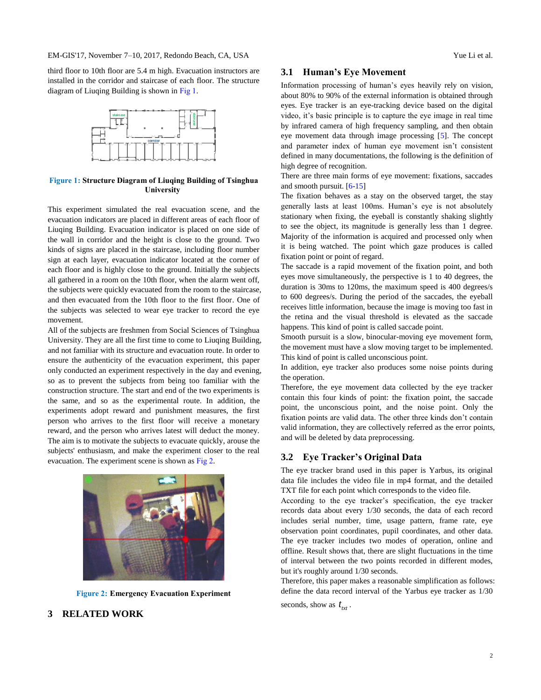EM-GIS'17, November 7–10, 2017, Redondo Beach, CA, USA Yue Li et al.

third floor to 10th floor are 5.4 m high. Evacuation instructors are installed in the corridor and staircase of each floor. The structure diagram of Liuqing Building is shown in Fig 1.



**Figure 1: Structure Diagram of Liuqing Building of Tsinghua University**

This experiment simulated the real evacuation scene, and the evacuation indicators are placed in different areas of each floor of Liuqing Building. Evacuation indicator is placed on one side of the wall in corridor and the height is close to the ground. Two kinds of signs are placed in the staircase, including floor number sign at each layer, evacuation indicator located at the corner of each floor and is highly close to the ground. Initially the subjects all gathered in a room on the 10th floor, when the alarm went off, the subjects were quickly evacuated from the room to the staircase, and then evacuated from the 10th floor to the first floor. One of the subjects was selected to wear eye tracker to record the eye movement.

All of the subjects are freshmen from Social Sciences of Tsinghua University. They are all the first time to come to Liuqing Building, and not familiar with its structure and evacuation route. In order to ensure the authenticity of the evacuation experiment, this paper only conducted an experiment respectively in the day and evening, so as to prevent the subjects from being too familiar with the construction structure. The start and end of the two experiments is the same, and so as the experimental route. In addition, the experiments adopt reward and punishment measures, the first person who arrives to the first floor will receive a monetary reward, and the person who arrives latest will deduct the money. The aim is to motivate the subjects to evacuate quickly, arouse the subjects' enthusiasm, and make the experiment closer to the real evacuation. The experiment scene is shown as Fig 2.



**Figure 2: Emergency Evacuation Experiment**

#### **3 RELATED WORK**

#### **3.1 Human's Eye Movement**

Information processing of human's eyes heavily rely on vision, about 80% to 90% of the external information is obtained through eyes. Eye tracker is an eye-tracking device based on the digital video, it's basic principle is to capture the eye image in real time by infrared camera of high frequency sampling, and then obtain eye movement data through image processing [5]. The concept and parameter index of human eye movement isn't consistent defined in many documentations, the following is the definition of high degree of recognition.

There are three main forms of eye movement: fixations, saccades and smooth pursuit. [6-15]

The fixation behaves as a stay on the observed target, the stay generally lasts at least 100ms. Human's eye is not absolutely stationary when fixing, the eyeball is constantly shaking slightly to see the object, its magnitude is generally less than 1 degree. Majority of the information is acquired and processed only when it is being watched. The point which gaze produces is called fixation point or point of regard.

The saccade is a rapid movement of the fixation point, and both eyes move simultaneously, the perspective is 1 to 40 degrees, the duration is 30ms to 120ms, the maximum speed is 400 degrees/s to 600 degrees/s. During the period of the saccades, the eyeball receives little information, because the image is moving too fast in the retina and the visual threshold is elevated as the saccade happens. This kind of point is called saccade point.

Smooth pursuit is a slow, binocular-moving eye movement form, the movement must have a slow moving target to be implemented. This kind of point is called unconscious point.

In addition, eye tracker also produces some noise points during the operation.

Therefore, the eye movement data collected by the eye tracker contain this four kinds of point: the fixation point, the saccade point, the unconscious point, and the noise point. Only the fixation points are valid data. The other three kinds don't contain valid information, they are collectively referred as the error points, and will be deleted by data preprocessing.

# **3.2 Eye Tracker's Original Data**

The eye tracker brand used in this paper is Yarbus, its original data file includes the video file in mp4 format, and the detailed TXT file for each point which corresponds to the video file.

According to the eye tracker's specification, the eye tracker records data about every 1/30 seconds, the data of each record includes serial number, time, usage pattern, frame rate, eye observation point coordinates, pupil coordinates, and other data. The eye tracker includes two modes of operation, online and offline. Result shows that, there are slight fluctuations in the time of interval between the two points recorded in different modes, but it's roughly around 1/30 seconds.

Therefore, this paper makes a reasonable simplification as follows: define the data record interval of the Yarbus eye tracker as 1/30 seconds, show as  $t_{\text{txt}}$ .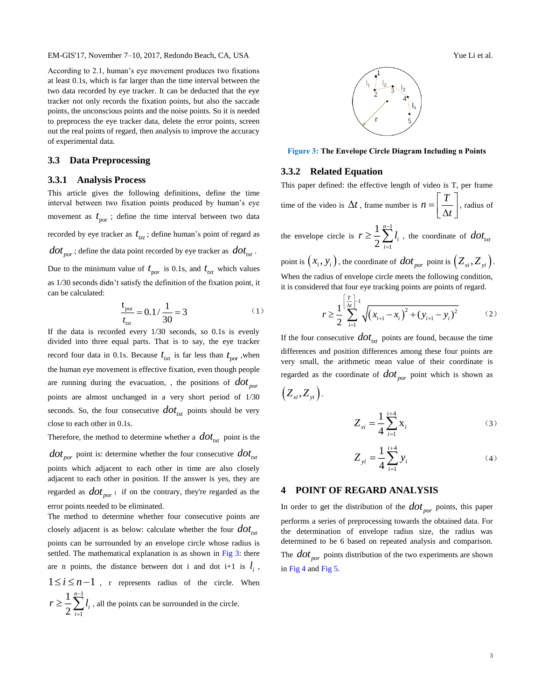EM-GIS'17, November 7–10, 2017, Redondo Beach, CA, USA Yue Li et al.

According to 2.1, human's eye movement produces two fixations at least 0.1s, which is far larger than the time interval between the two data recorded by eye tracker. It can be deducted that the eye tracker not only records the fixation points, but also the saccade points, the unconscious points and the noise points. So it is needed to preprocess the eye tracker data, delete the error points, screen out the real points of regard, then analysis to improve the accuracy of experimental data.

# **3.3 Data Preprocessing**

### **3.3.1 Analysis Process**

This article gives the following definitions, define the time interval between two fixation points produced by human's eye movement as  $t_{\text{por}}$ ; define the time interval between two data recorded by eye tracker as  $t_{\text{txt}}$ ; define human's point of regard as  $dot$   $_{por}$  ; define the data point recorded by eye tracker as  $\dot{dot}_{_{txt}}$  . Due to the minimum value of  $t_{\text{por}}$  is 0.1s, and  $t_{\text{txt}}$  which values

as 1/30 seconds didn't satisfy the definition of the fixation point, it can be calculated:

$$
\frac{t_{\text{por}}}{t_{\text{tot}}} = 0.1 / \frac{1}{30} = 3 \tag{1}
$$

If the data is recorded every 1/30 seconds, so 0.1s is evenly divided into three equal parts. That is to say, the eye tracker record four data in 0.1s. Because  $t_{\text{txt}}$  is far less than  $t_{\text{por}}$ , when the human eye movement is effective fixation, even though people are running during the evacuation, , the positions of *por dot* points are almost unchanged in a very short period of 1/30 seconds. So, the four consecutive  $dot_{\text{txt}}$  points should be very close to each other in 0.1s.

Therefore, the method to determine whether a  $dot_{xx}$  point is the  $dot$   $_{por}$  point is: determine whether the four consecutive  $dot$ points which adjacent to each other in time are also closely adjacent to each other in position. If the answer is yes, they are regarded as  $dot_{por}$ ; if on the contrary, they're regarded as the error points needed to be eliminated.

The method to determine whether four consecutive points are closely adjacent is as below: calculate whether the four  $dot_{txt}$ points can be surrounded by an envelope circle whose radius is settled. The mathematical explanation is as shown in Fig 3: there are n points, the distance between dot i and dot  $i+1$  is  $l_i$ ,  $1 \le i \le n-1$ , r represents radius of the circle. When  $1 \rightleftharpoons$ 1 2  $r \geq \frac{1}{2} \sum_{i=1}^{n-1} l_i$ , all the points can be surrounded in the circle. *i*



**Figure 3: The Envelope Circle Diagram Including n Points**

#### **3.3.2 Related Equation**

This paper defined: the effective length of video is T, per frame time of the video is  $\Delta t$ , frame number is  $n = \frac{T}{t}$ *t*  $=\left[\frac{T}{\Delta t}\right]$ , radius of 1 1 *n*

the envelope circle is 1 2 *i i*  $r \geq \frac{1}{2} \sum_{i=1}^{n-1} l_i$ , the coordinate of  $dot_{\text{tot}}$ 

point is  $\left( \mathcal{X}_i, \mathcal{Y}_i \right)$ , the coordinate of  $\textit{dot}$  point is  $\left( Z_{x i}, Z_{y i} \right)$ . When the radius of envelope circle meets the following condition, it is considered that four eye tracking points are points of regard.

$$
r \geq \frac{1}{2} \sum_{i=1}^{\left[\frac{T}{\Delta t}\right]-1} \sqrt{\left(x_{i+1} - x_i\right)^2 + \left(y_{i+1} - y_i\right)^2} \tag{2}
$$

If the four consecutive  $dot_{txt}$  points are found, because the time differences and position differences among these four points are very small, the arithmetic mean value of their coordinate is regarded as the coordinate of  $dot_{por}$  point which is shown as

$$
\Big(Z_{\scriptscriptstyle x i},Z_{\scriptscriptstyle y i}\Big).
$$

$$
Z_{xi} = \frac{1}{4} \sum_{i=1}^{i+4} x_i
$$
 (3)

$$
Z_{yi} = \frac{1}{4} \sum_{i=1}^{i+4} y_i
$$
 (4)

#### **4 POINT OF REGARD ANALYSIS**

In order to get the distribution of the  $dot_{por}$  points, this paper performs a series of preprocessing towards the obtained data. For the determination of envelope radius size, the radius was determined to be 6 based on repeated analysis and comparison. The  $dot_{por}$  points distribution of the two experiments are shown in Fig 4 and Fig 5.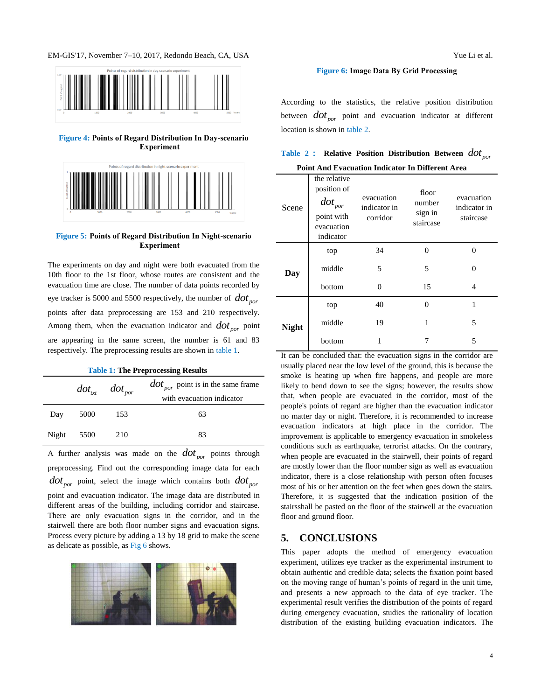EM-GIS'17, November 7–10, 2017, Redondo Beach, CA, USA Yue Li et al.



**Figure 4: Points of Regard Distribution In Day-scenario Experiment**



#### **Figure 5: Points of Regard Distribution In Night-scenario Experiment**

The experiments on day and night were both evacuated from the 10th floor to the 1st floor, whose routes are consistent and the evacuation time are close. The number of data points recorded by eye tracker is 5000 and 5500 respectively, the number of  $\textit{dot}_{por}$ points after data preprocessing are 153 and 210 respectively. Among them, when the evacuation indicator and  $dot_{por}$  point are appearing in the same screen, the number is 61 and 83 respectively. The preprocessing results are shown in table 1.

|  |  | <b>Table 1: The Preprocessing Results</b> |  |
|--|--|-------------------------------------------|--|
|--|--|-------------------------------------------|--|

|       |      | $dot_{xx}$ dot <sub>por</sub> | $dot_{\text{por}}$ point is in the same frame<br>with evacuation indicator |
|-------|------|-------------------------------|----------------------------------------------------------------------------|
| Day   | 5000 | - 153                         | 63                                                                         |
| Night | 5500 | 210                           | 83                                                                         |

A further analysis was made on the  $dot_{por}$  points through preprocessing. Find out the corresponding image data for each  $dot$   $_{por}$  point, select the image which contains both  $dot$   $_{por}$ point and evacuation indicator. The image data are distributed in different areas of the building, including corridor and staircase. There are only evacuation signs in the corridor, and in the stairwell there are both floor number signs and evacuation signs. Process every picture by adding a 13 by 18 grid to make the scene as delicate as possible, as Fig 6 shows.



#### **Figure 6: Image Data By Grid Processing**

According to the statistics, the relative position distribution between  $dot$ <sub>por</sub> point and evacuation indicator at different location is shown in table 2.

| <b>Table 2:</b> Relative Position Distribution Between $dot_{por}$ |  |
|--------------------------------------------------------------------|--|
|--------------------------------------------------------------------|--|

| <b>Point And Evacuation Indicator In Different Area</b> |                                                                                            |                                        |                                         |                                         |  |  |  |
|---------------------------------------------------------|--------------------------------------------------------------------------------------------|----------------------------------------|-----------------------------------------|-----------------------------------------|--|--|--|
| Scene                                                   | the relative<br>position of<br>$dot_{\emph{por}}$<br>point with<br>evacuation<br>indicator | evacuation<br>indicator in<br>corridor | floor<br>number<br>sign in<br>staircase | evacuation<br>indicator in<br>staircase |  |  |  |
|                                                         | top                                                                                        | 34                                     | 0                                       | 0                                       |  |  |  |
| Day                                                     | middle                                                                                     | 5                                      | 5                                       | 0                                       |  |  |  |
|                                                         | bottom                                                                                     | 0                                      | 15                                      | $\overline{4}$                          |  |  |  |
|                                                         | top                                                                                        | 40                                     | 0                                       | 1                                       |  |  |  |
| <b>Night</b>                                            | middle                                                                                     | 19                                     | 1                                       | 5                                       |  |  |  |
|                                                         | bottom                                                                                     | 1                                      | 7                                       | 5                                       |  |  |  |

It can be concluded that: the evacuation signs in the corridor are usually placed near the low level of the ground, this is because the smoke is heating up when fire happens, and people are more likely to bend down to see the signs; however, the results show that, when people are evacuated in the corridor, most of the people's points of regard are higher than the evacuation indicator no matter day or night. Therefore, it is recommended to increase evacuation indicators at high place in the corridor. The improvement is applicable to emergency evacuation in smokeless conditions such as earthquake, terrorist attacks. On the contrary, when people are evacuated in the stairwell, their points of regard are mostly lower than the floor number sign as well as evacuation indicator, there is a close relationship with person often focuses most of his or her attention on the feet when goes down the stairs. Therefore, it is suggested that the indication position of the stairsshall be pasted on the floor of the stairwell at the evacuation floor and ground floor.

# **5. CONCLUSIONS**

This paper adopts the method of emergency evacuation experiment, utilizes eye tracker as the experimental instrument to obtain authentic and credible data; selects the fixation point based on the moving range of human's points of regard in the unit time, and presents a new approach to the data of eye tracker. The experimental result verifies the distribution of the points of regard during emergency evacuation, studies the rationality of location distribution of the existing building evacuation indicators. The